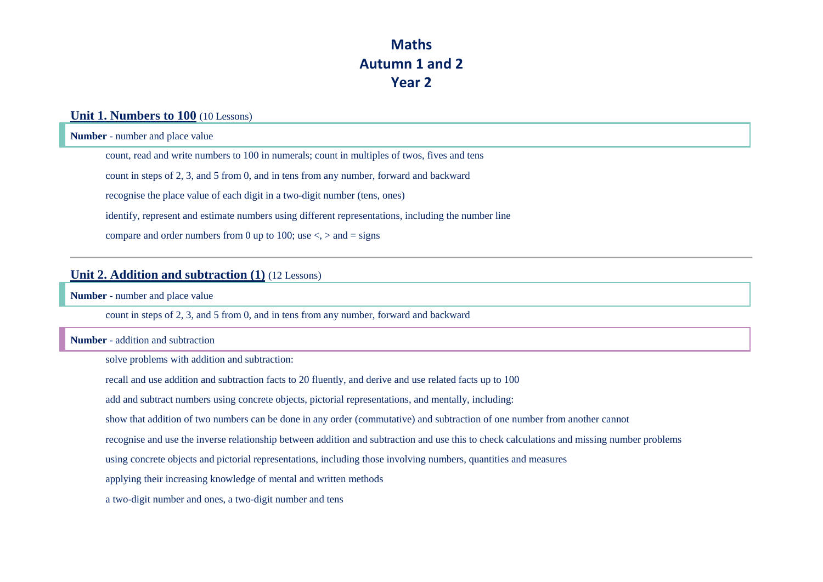## **Maths Autumn 1 and 2 Year 2**

### **Unit 1. Numbers to 100** (10 Lessons)

**Number** - number and place value

count, read and write numbers to 100 in numerals; count in multiples of twos, fives and tens

count in steps of 2, 3, and 5 from 0, and in tens from any number, forward and backward

recognise the place value of each digit in a two-digit number (tens, ones)

identify, represent and estimate numbers using different representations, including the number line

compare and order numbers from 0 up to 100; use  $\langle \rangle$  and = signs

### **Unit 2. Addition and subtraction (1)** (12 Lessons)

**Number** - number and place value

count in steps of 2, 3, and 5 from 0, and in tens from any number, forward and backward

#### **Number** - addition and subtraction

solve problems with addition and subtraction:

recall and use addition and subtraction facts to 20 fluently, and derive and use related facts up to 100

add and subtract numbers using concrete objects, pictorial representations, and mentally, including:

show that addition of two numbers can be done in any order (commutative) and subtraction of one number from another cannot

recognise and use the inverse relationship between addition and subtraction and use this to check calculations and missing number problems

using concrete objects and pictorial representations, including those involving numbers, quantities and measures

applying their increasing knowledge of mental and written methods

a two-digit number and ones, a two-digit number and tens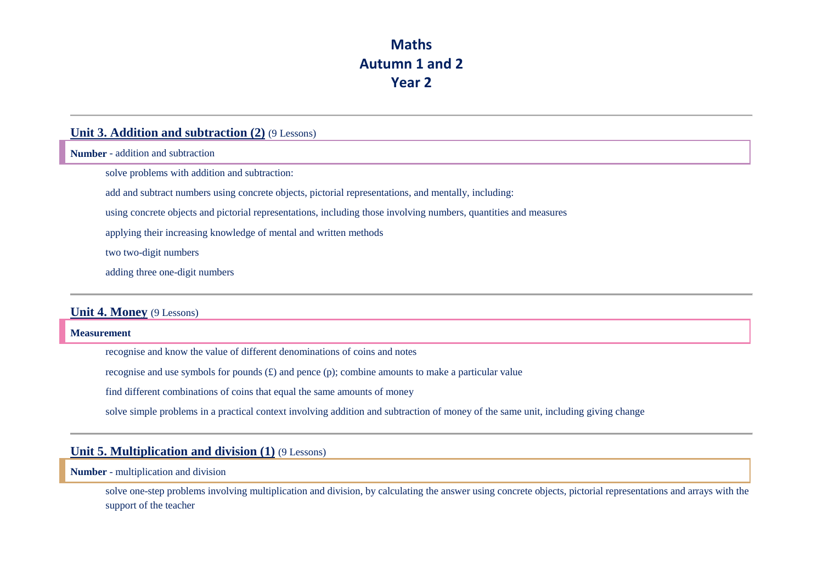## **Maths Autumn 1 and 2 Year 2**

### **Unit 3. Addition and subtraction (2)** (9 Lessons)

**Number** - addition and subtraction

solve problems with addition and subtraction:

add and subtract numbers using concrete objects, pictorial representations, and mentally, including:

using concrete objects and pictorial representations, including those involving numbers, quantities and measures

applying their increasing knowledge of mental and written methods

two two-digit numbers

adding three one-digit numbers

### **Unit 4. Money** (9 Lessons)

**Measurement**

recognise and know the value of different denominations of coins and notes

recognise and use symbols for pounds  $(E)$  and pence (p); combine amounts to make a particular value

find different combinations of coins that equal the same amounts of money

solve simple problems in a practical context involving addition and subtraction of money of the same unit, including giving change

### **Unit 5. Multiplication and division (1)** (9 Lessons)

**Number** - multiplication and division

solve one-step problems involving multiplication and division, by calculating the answer using concrete objects, pictorial representations and arrays with the support of the teacher